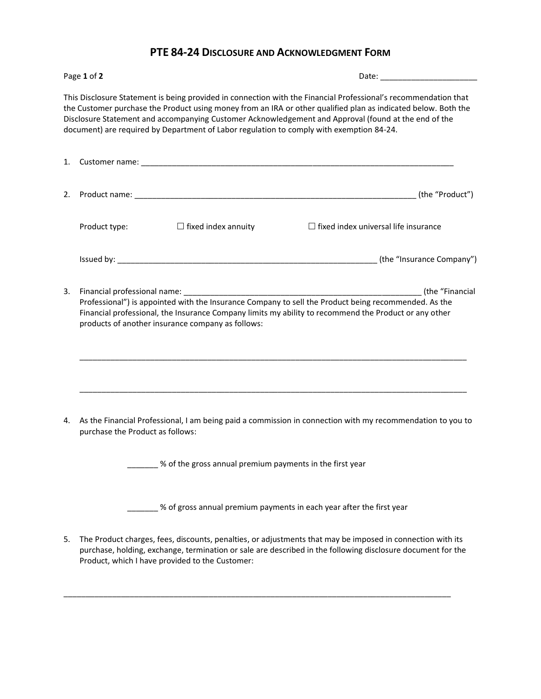## **PTE 84-24 DISCLOSURE AND ACKNOWLEDGMENT FORM**

| Page 1 of 2 |                                                                                                                                                                                                                                                                    |                                                            |                                                                                                                                                                                                                                                                                                                                                                                                                                       |  |
|-------------|--------------------------------------------------------------------------------------------------------------------------------------------------------------------------------------------------------------------------------------------------------------------|------------------------------------------------------------|---------------------------------------------------------------------------------------------------------------------------------------------------------------------------------------------------------------------------------------------------------------------------------------------------------------------------------------------------------------------------------------------------------------------------------------|--|
|             |                                                                                                                                                                                                                                                                    |                                                            | This Disclosure Statement is being provided in connection with the Financial Professional's recommendation that<br>the Customer purchase the Product using money from an IRA or other qualified plan as indicated below. Both the<br>Disclosure Statement and accompanying Customer Acknowledgement and Approval (found at the end of the<br>document) are required by Department of Labor regulation to comply with exemption 84-24. |  |
|             |                                                                                                                                                                                                                                                                    |                                                            |                                                                                                                                                                                                                                                                                                                                                                                                                                       |  |
| 2.          |                                                                                                                                                                                                                                                                    |                                                            |                                                                                                                                                                                                                                                                                                                                                                                                                                       |  |
|             | Product type:                                                                                                                                                                                                                                                      | $\Box$ fixed index annuity                                 | $\Box$ fixed index universal life insurance                                                                                                                                                                                                                                                                                                                                                                                           |  |
|             |                                                                                                                                                                                                                                                                    |                                                            |                                                                                                                                                                                                                                                                                                                                                                                                                                       |  |
| 3.          | Professional") is appointed with the Insurance Company to sell the Product being recommended. As the<br>Financial professional, the Insurance Company limits my ability to recommend the Product or any other<br>products of another insurance company as follows: |                                                            |                                                                                                                                                                                                                                                                                                                                                                                                                                       |  |
| 4.          | purchase the Product as follows:                                                                                                                                                                                                                                   |                                                            | As the Financial Professional, I am being paid a commission in connection with my recommendation to you to                                                                                                                                                                                                                                                                                                                            |  |
|             |                                                                                                                                                                                                                                                                    | _ % of the gross annual premium payments in the first year |                                                                                                                                                                                                                                                                                                                                                                                                                                       |  |
|             |                                                                                                                                                                                                                                                                    |                                                            | % of gross annual premium payments in each year after the first year                                                                                                                                                                                                                                                                                                                                                                  |  |
| 5.          | Product, which I have provided to the Customer:                                                                                                                                                                                                                    |                                                            | The Product charges, fees, discounts, penalties, or adjustments that may be imposed in connection with its<br>purchase, holding, exchange, termination or sale are described in the following disclosure document for the                                                                                                                                                                                                             |  |

\_\_\_\_\_\_\_\_\_\_\_\_\_\_\_\_\_\_\_\_\_\_\_\_\_\_\_\_\_\_\_\_\_\_\_\_\_\_\_\_\_\_\_\_\_\_\_\_\_\_\_\_\_\_\_\_\_\_\_\_\_\_\_\_\_\_\_\_\_\_\_\_\_\_\_\_\_\_\_\_\_\_\_\_\_\_\_\_